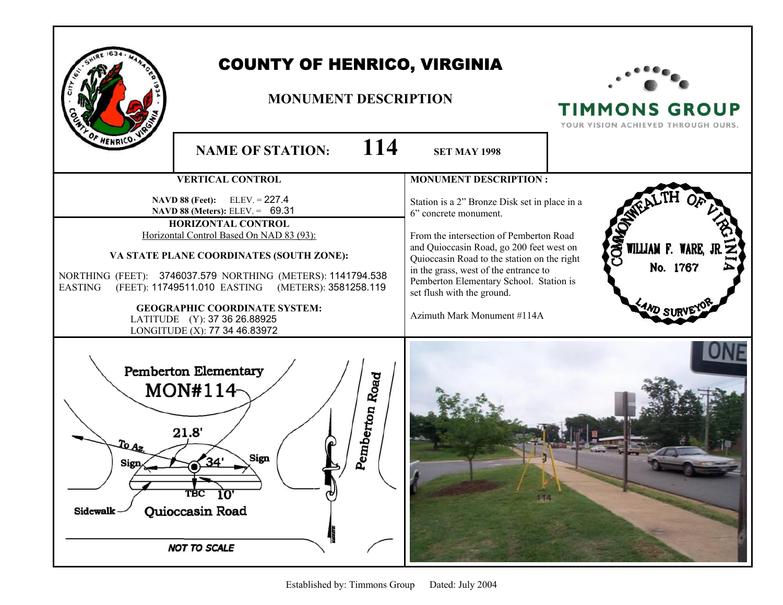|                                                                                                                                                                    | <b>COUNTY OF HENRICO, VIRGINIA</b><br><b>MONUMENT DESCRIPTION</b>                                                                                                                                                                                                                                                                                                                                                     |     |                                                                                                                                                                                                                                                                                                                                                               | <b>TIMMONS GROUP</b><br>YOUR VISION ACHIEVED THROUGH OURS.  |
|--------------------------------------------------------------------------------------------------------------------------------------------------------------------|-----------------------------------------------------------------------------------------------------------------------------------------------------------------------------------------------------------------------------------------------------------------------------------------------------------------------------------------------------------------------------------------------------------------------|-----|---------------------------------------------------------------------------------------------------------------------------------------------------------------------------------------------------------------------------------------------------------------------------------------------------------------------------------------------------------------|-------------------------------------------------------------|
|                                                                                                                                                                    | <b>NAME OF STATION:</b>                                                                                                                                                                                                                                                                                                                                                                                               | 114 | <b>SET MAY 1998</b>                                                                                                                                                                                                                                                                                                                                           |                                                             |
|                                                                                                                                                                    | <b>VERTICAL CONTROL</b>                                                                                                                                                                                                                                                                                                                                                                                               |     | <b>MONUMENT DESCRIPTION:</b>                                                                                                                                                                                                                                                                                                                                  |                                                             |
| <b>EASTING</b>                                                                                                                                                     | <b>NAVD 88 (Feet):</b> ELEV. = $227.4$<br>NAVD 88 (Meters): ELEV. = 69.31<br>HORIZONTAL CONTROL<br>Horizontal Control Based On NAD 83 (93):<br>VA STATE PLANE COORDINATES (SOUTH ZONE):<br>NORTHING (FEET): 3746037.579 NORTHING (METERS): 1141794.538<br>(FEET): 11749511.010 EASTING (METERS): 3581258.119<br><b>GEOGRAPHIC COORDINATE SYSTEM:</b><br>LATITUDE (Y): 37 36 26.88925<br>LONGITUDE (X): 77 34 46.83972 |     | Station is a 2" Bronze Disk set in place in a<br>6" concrete monument.<br>From the intersection of Pemberton Road<br>and Quioccasin Road, go 200 feet west on<br>Quioccasin Road to the station on the right<br>in the grass, west of the entrance to<br>Pemberton Elementary School. Station is<br>set flush with the ground.<br>Azimuth Mark Monument #114A | <b>RKO</b><br>WILLIAM F. WARE,<br>No. 1767<br><b>WD SUI</b> |
| <b>Pemberton Elementary</b><br>Road<br>MON#114-<br>Pemberton<br>21.8'<br>ر To<br>Sign<br>Sign<br>TBC<br>10'<br>Quioccasin Road<br>Sidewalk-<br><b>NOT TO SCALE</b> |                                                                                                                                                                                                                                                                                                                                                                                                                       |     |                                                                                                                                                                                                                                                                                                                                                               |                                                             |